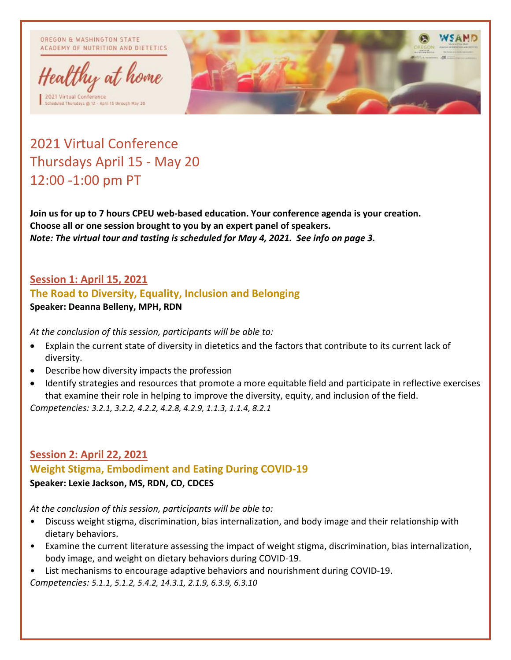OREGON & WASHINGTON STATE ACADEMY OF NUTRITION AND DIETETICS



ded Thorsdays @ 12 - April 15 through May 20



# 2021 Virtual Conference Thursdays April 15 - May 20 12:00 -1:00 pm PT

**Join us for up to 7 hours CPEU web-based education. Your conference agenda is your creation. Choose all or one session brought to you by an expert panel of speakers.** *Note: The virtual tour and tasting is scheduled for May 4, 2021. See info on page 3.*

### **Session 1: April 15, 2021**

#### **The Road to Diversity, Equality, Inclusion and Belonging**

**Speaker: Deanna Belleny, MPH, RDN**

*At the conclusion of this session, participants will be able to:*

- Explain the current state of diversity in dietetics and the factors that contribute to its current lack of diversity.
- Describe how diversity impacts the profession
- Identify strategies and resources that promote a more equitable field and participate in reflective exercises that examine their role in helping to improve the diversity, equity, and inclusion of the field.

*Competencies: 3.2.1, 3.2.2, 4.2.2, 4.2.8, 4.2.9, 1.1.3, 1.1.4, 8.2.1*

## **Session 2: April 22, 2021 Weight Stigma, Embodiment and Eating During COVID-19 Speaker: Lexie Jackson, MS, RDN, CD, CDCES**

*At the conclusion of this session, participants will be able to:*

- Discuss weight stigma, discrimination, bias internalization, and body image and their relationship with dietary behaviors.
- Examine the current literature assessing the impact of weight stigma, discrimination, bias internalization, body image, and weight on dietary behaviors during COVID-19.
- List mechanisms to encourage adaptive behaviors and nourishment during COVID-19. *Competencies: 5.1.1, 5.1.2, 5.4.2, 14.3.1, 2.1.9, 6.3.9, 6.3.10*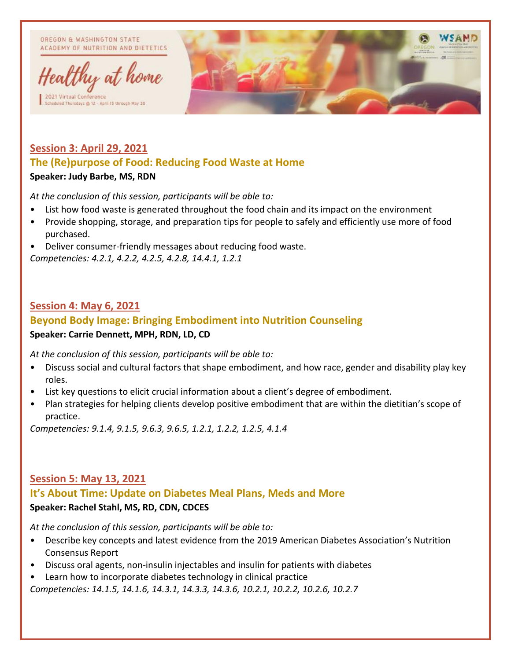OREGON & WASHINGTON STATE ACADEMY OF NUTRITION AND DIETETICS



ded Thorsdays @ 12 - April 15 through May 20



## **Session 3: April 29, 2021 The (Re)purpose of Food: Reducing Food Waste at Home Speaker: Judy Barbe, MS, RDN**

*At the conclusion of this session, participants will be able to:*

- List how food waste is generated throughout the food chain and its impact on the environment
- Provide shopping, storage, and preparation tips for people to safely and efficiently use more of food purchased.
- Deliver consumer-friendly messages about reducing food waste.

*Competencies: 4.2.1, 4.2.2, 4.2.5, 4.2.8, 14.4.1, 1.2.1*

### **Session 4: May 6, 2021**

## **Beyond Body Image: Bringing Embodiment into Nutrition Counseling Speaker: Carrie Dennett, MPH, RDN, LD, CD**

*At the conclusion of this session, participants will be able to:*

- Discuss social and cultural factors that shape embodiment, and how race, gender and disability play key roles.
- List key questions to elicit crucial information about a client's degree of embodiment.
- Plan strategies for helping clients develop positive embodiment that are within the dietitian's scope of practice.

*Competencies: 9.1.4, 9.1.5, 9.6.3, 9.6.5, 1.2.1, 1.2.2, 1.2.5, 4.1.4*

#### **Session 5: May 13, 2021 It's About Time: Update on Diabetes Meal Plans, Meds and More Speaker: Rachel Stahl, MS, RD, CDN, CDCES**

*At the conclusion of this session, participants will be able to:*

- Describe key concepts and latest evidence from the 2019 American Diabetes Association's Nutrition Consensus Report
- Discuss oral agents, non-insulin injectables and insulin for patients with diabetes
- Learn how to incorporate diabetes technology in clinical practice

*Competencies: 14.1.5, 14.1.6, 14.3.1, 14.3.3, 14.3.6, 10.2.1, 10.2.2, 10.2.6, 10.2.7*